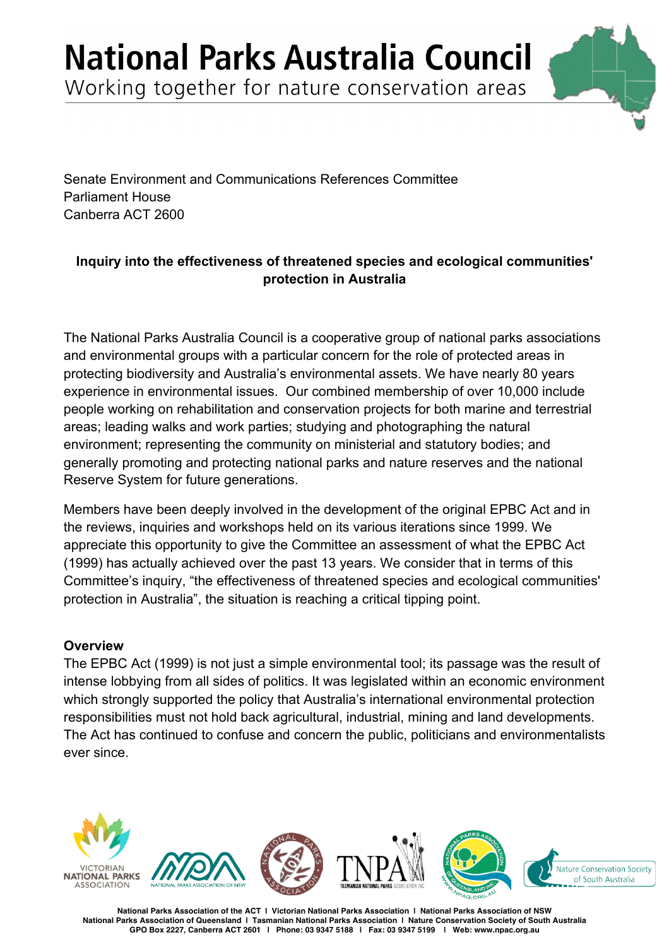Working together for nature conservation areas



Senate Environment and Communications References Committee Parliament House Canberra ACT 2600

#### **Inquiry into the effectiveness of threatened species and ecological communities' protection in Australia**

The National Parks Australia Council is a cooperative group of national parks associations and environmental groups with a particular concern for the role of protected areas in protecting biodiversity and Australia's environmental assets. We have nearly 80 years experience in environmental issues. Our combined membership of over 10,000 include people working on rehabilitation and conservation projects for both marine and terrestrial areas; leading walks and work parties; studying and photographing the natural environment; representing the community on ministerial and statutory bodies; and generally promoting and protecting national parks and nature reserves and the national Reserve System for future generations.

Members have been deeply involved in the development of the original EPBC Act and in the reviews, inquiries and workshops held on its various iterations since 1999. We appreciate this opportunity to give the Committee an assessment of what the EPBC Act (1999) has actually achieved over the past 13 years. We consider that in terms of this Committee's inquiry, "the effectiveness of threatened species and ecological communities' protection in Australia", the situation is reaching a critical tipping point.

#### **Overview**

The EPBC Act (1999) is not just a simple environmental tool; its passage was the result of intense lobbying from all sides of politics. It was legislated within an economic environment which strongly supported the policy that Australia's international environmental protection responsibilities must not hold back agricultural, industrial, mining and land developments. The Act has continued to confuse and concern the public, politicians and environmentalists ever since.

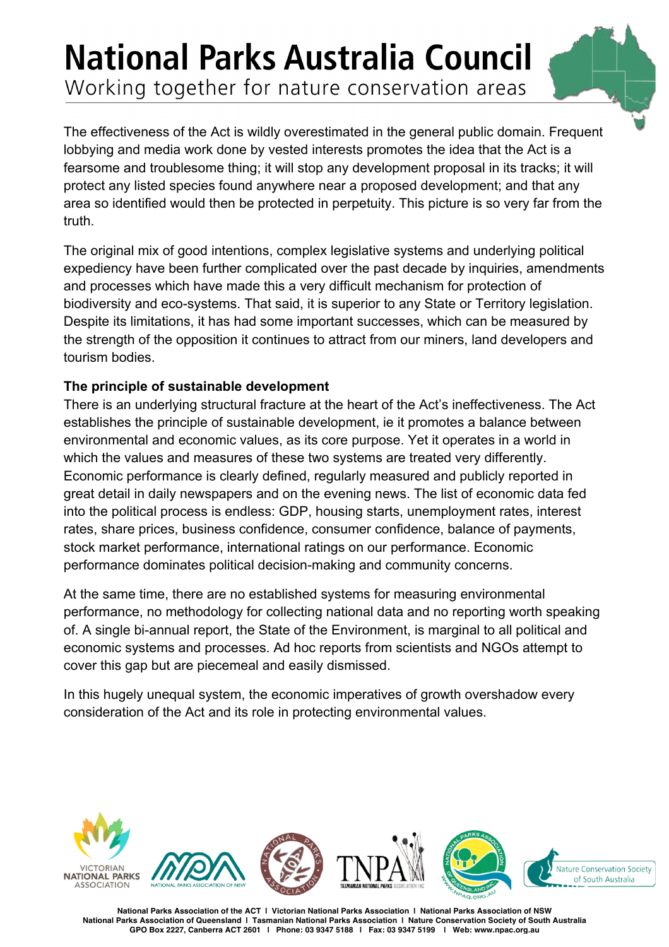Working together for nature conservation areas

The effectiveness of the Act is wildly overestimated in the general public domain. Frequent lobbying and media work done by vested interests promotes the idea that the Act is a fearsome and troublesome thing; it will stop any development proposal in its tracks; it will protect any listed species found anywhere near a proposed development; and that any area so identified would then be protected in perpetuity. This picture is so very far from the truth.

The original mix of good intentions, complex legislative systems and underlying political expediency have been further complicated over the past decade by inquiries, amendments and processes which have made this a very difficult mechanism for protection of biodiversity and eco-systems. That said, it is superior to any State or Territory legislation. Despite its limitations, it has had some important successes, which can be measured by the strength of the opposition it continues to attract from our miners, land developers and tourism bodies.

#### **The principle of sustainable development**

There is an underlying structural fracture at the heart of the Act's ineffectiveness. The Act establishes the principle of sustainable development, ie it promotes a balance between environmental and economic values, as its core purpose. Yet it operates in a world in which the values and measures of these two systems are treated very differently. Economic performance is clearly defined, regularly measured and publicly reported in great detail in daily newspapers and on the evening news. The list of economic data fed into the political process is endless: GDP, housing starts, unemployment rates, interest rates, share prices, business confidence, consumer confidence, balance of payments, stock market performance, international ratings on our performance. Economic performance dominates political decision-making and community concerns.

At the same time, there are no established systems for measuring environmental performance, no methodology for collecting national data and no reporting worth speaking of. A single bi-annual report, the State of the Environment, is marginal to all political and economic systems and processes. Ad hoc reports from scientists and NGOs attempt to cover this gap but are piecemeal and easily dismissed.

In this hugely unequal system, the economic imperatives of growth overshadow every consideration of the Act and its role in protecting environmental values.

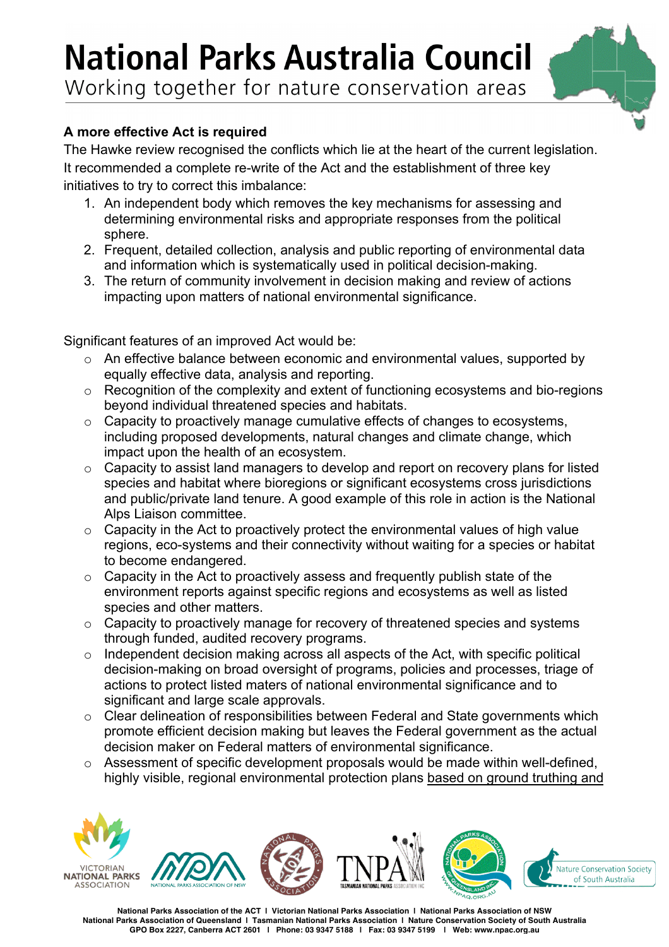Working together for nature conservation areas



#### **A more effective Act is required**

The Hawke review recognised the conflicts which lie at the heart of the current legislation. It recommended a complete re-write of the Act and the establishment of three key initiatives to try to correct this imbalance:

- 1. An independent body which removes the key mechanisms for assessing and determining environmental risks and appropriate responses from the political sphere.
- 2. Frequent, detailed collection, analysis and public reporting of environmental data and information which is systematically used in political decision-making.
- 3. The return of community involvement in decision making and review of actions impacting upon matters of national environmental significance.

Significant features of an improved Act would be:

- o An effective balance between economic and environmental values, supported by equally effective data, analysis and reporting.
- o Recognition of the complexity and extent of functioning ecosystems and bio-regions beyond individual threatened species and habitats.
- o Capacity to proactively manage cumulative effects of changes to ecosystems, including proposed developments, natural changes and climate change, which impact upon the health of an ecosystem.
- o Capacity to assist land managers to develop and report on recovery plans for listed species and habitat where bioregions or significant ecosystems cross jurisdictions and public/private land tenure. A good example of this role in action is the National Alps Liaison committee.
- $\circ$  Capacity in the Act to proactively protect the environmental values of high value regions, eco-systems and their connectivity without waiting for a species or habitat to become endangered.
- $\circ$  Capacity in the Act to proactively assess and frequently publish state of the environment reports against specific regions and ecosystems as well as listed species and other matters.
- o Capacity to proactively manage for recovery of threatened species and systems through funded, audited recovery programs.
- o Independent decision making across all aspects of the Act, with specific political decision-making on broad oversight of programs, policies and processes, triage of actions to protect listed maters of national environmental significance and to significant and large scale approvals.
- o Clear delineation of responsibilities between Federal and State governments which promote efficient decision making but leaves the Federal government as the actual decision maker on Federal matters of environmental significance.
- o Assessment of specific development proposals would be made within well-defined, highly visible, regional environmental protection plans based on ground truthing and

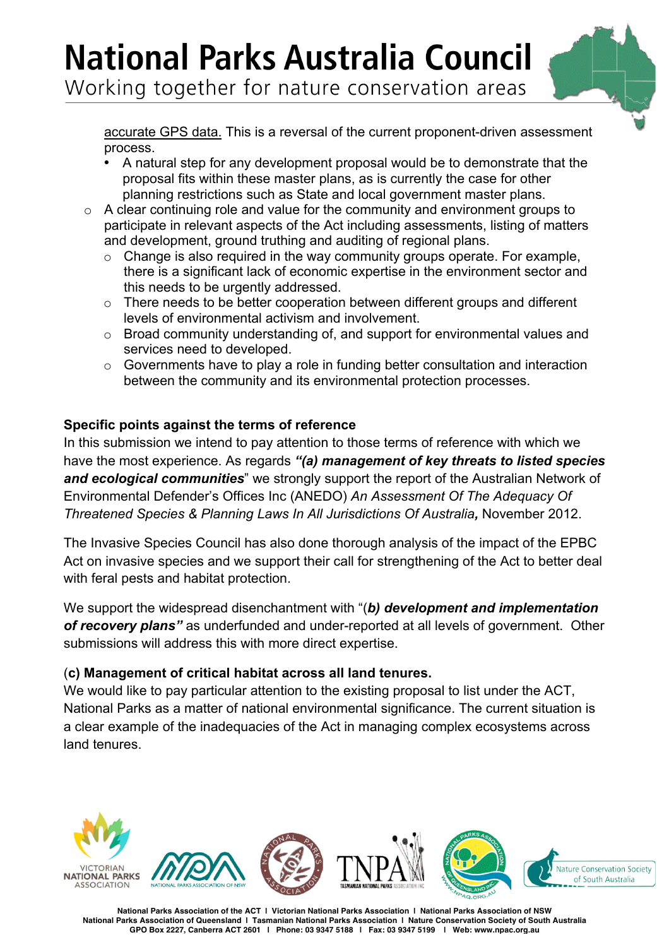Working together for nature conservation areas

accurate GPS data. This is a reversal of the current proponent-driven assessment process.

- A natural step for any development proposal would be to demonstrate that the proposal fits within these master plans, as is currently the case for other planning restrictions such as State and local government master plans.
- o A clear continuing role and value for the community and environment groups to participate in relevant aspects of the Act including assessments, listing of matters and development, ground truthing and auditing of regional plans.
	- o Change is also required in the way community groups operate. For example, there is a significant lack of economic expertise in the environment sector and this needs to be urgently addressed.
	- o There needs to be better cooperation between different groups and different levels of environmental activism and involvement.
	- o Broad community understanding of, and support for environmental values and services need to developed.
	- o Governments have to play a role in funding better consultation and interaction between the community and its environmental protection processes.

#### **Specific points against the terms of reference**

In this submission we intend to pay attention to those terms of reference with which we have the most experience. As regards *"(a) management of key threats to listed species and ecological communities*" we strongly support the report of the Australian Network of Environmental Defender's Offices Inc (ANEDO) *An Assessment Of The Adequacy Of Threatened Species & Planning Laws In All Jurisdictions Of Australia,* November 2012.

The Invasive Species Council has also done thorough analysis of the impact of the EPBC Act on invasive species and we support their call for strengthening of the Act to better deal with feral pests and habitat protection.

We support the widespread disenchantment with "(*b) development and implementation of recovery plans"* as underfunded and under-reported at all levels of government. Other submissions will address this with more direct expertise.

#### (**c) Management of critical habitat across all land tenures.**

We would like to pay particular attention to the existing proposal to list under the ACT, National Parks as a matter of national environmental significance. The current situation is a clear example of the inadequacies of the Act in managing complex ecosystems across land tenures.

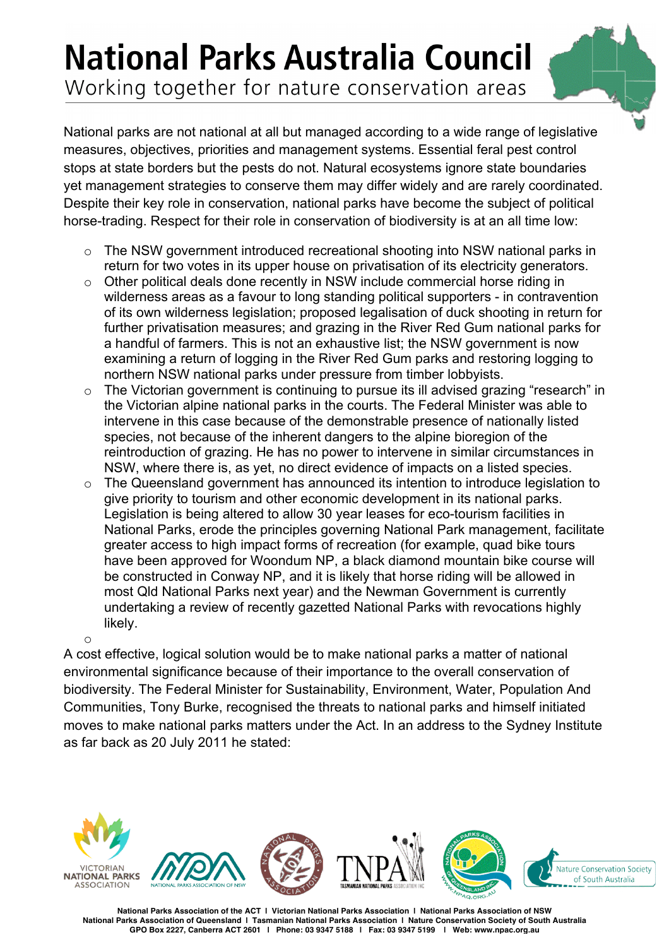Working together for nature conservation areas

National parks are not national at all but managed according to a wide range of legislative measures, objectives, priorities and management systems. Essential feral pest control stops at state borders but the pests do not. Natural ecosystems ignore state boundaries yet management strategies to conserve them may differ widely and are rarely coordinated. Despite their key role in conservation, national parks have become the subject of political horse-trading. Respect for their role in conservation of biodiversity is at an all time low:

- o The NSW government introduced recreational shooting into NSW national parks in return for two votes in its upper house on privatisation of its electricity generators.
- o Other political deals done recently in NSW include commercial horse riding in wilderness areas as a favour to long standing political supporters - in contravention of its own wilderness legislation; proposed legalisation of duck shooting in return for further privatisation measures; and grazing in the River Red Gum national parks for a handful of farmers. This is not an exhaustive list; the NSW government is now examining a return of logging in the River Red Gum parks and restoring logging to northern NSW national parks under pressure from timber lobbyists.
- o The Victorian government is continuing to pursue its ill advised grazing "research" in the Victorian alpine national parks in the courts. The Federal Minister was able to intervene in this case because of the demonstrable presence of nationally listed species, not because of the inherent dangers to the alpine bioregion of the reintroduction of grazing. He has no power to intervene in similar circumstances in NSW, where there is, as yet, no direct evidence of impacts on a listed species.
- o The Queensland government has announced its intention to introduce legislation to give priority to tourism and other economic development in its national parks. Legislation is being altered to allow 30 year leases for eco-tourism facilities in National Parks, erode the principles governing National Park management, facilitate greater access to high impact forms of recreation (for example, quad bike tours have been approved for Woondum NP, a black diamond mountain bike course will be constructed in Conway NP, and it is likely that horse riding will be allowed in most Qld National Parks next year) and the Newman Government is currently undertaking a review of recently gazetted National Parks with revocations highly likely.

o

A cost effective, logical solution would be to make national parks a matter of national environmental significance because of their importance to the overall conservation of biodiversity. The Federal Minister for Sustainability, Environment, Water, Population And Communities, Tony Burke, recognised the threats to national parks and himself initiated moves to make national parks matters under the Act. In an address to the Sydney Institute as far back as 20 July 2011 he stated:

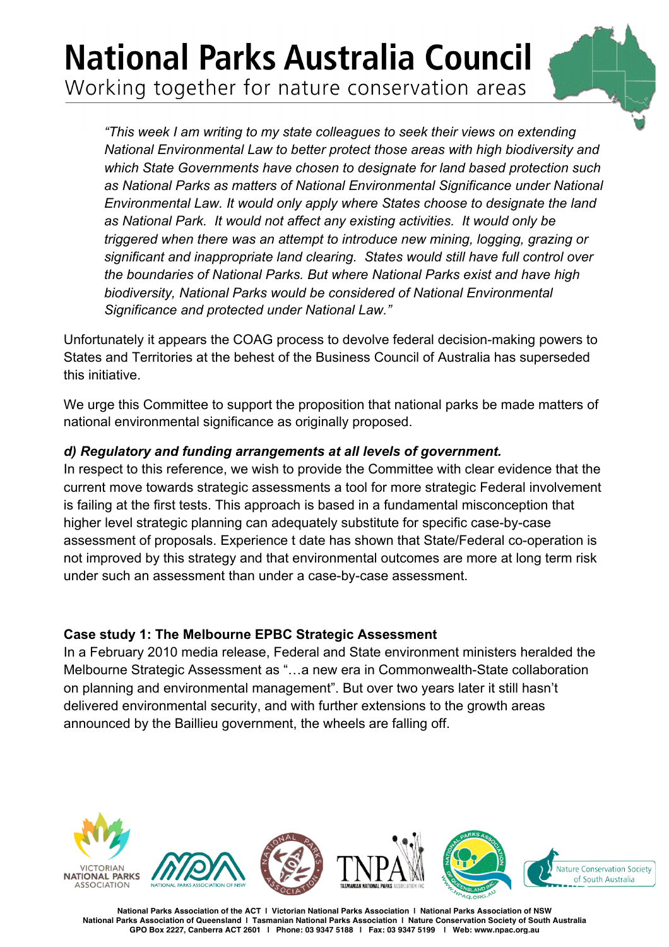Working together for nature conservation areas

*"This week I am writing to my state colleagues to seek their views on extending National Environmental Law to better protect those areas with high biodiversity and which State Governments have chosen to designate for land based protection such as National Parks as matters of National Environmental Significance under National Environmental Law. It would only apply where States choose to designate the land as National Park. It would not affect any existing activities. It would only be triggered when there was an attempt to introduce new mining, logging, grazing or significant and inappropriate land clearing. States would still have full control over the boundaries of National Parks. But where National Parks exist and have high biodiversity, National Parks would be considered of National Environmental Significance and protected under National Law."*

Unfortunately it appears the COAG process to devolve federal decision-making powers to States and Territories at the behest of the Business Council of Australia has superseded this initiative.

We urge this Committee to support the proposition that national parks be made matters of national environmental significance as originally proposed.

#### *d) Regulatory and funding arrangements at all levels of government.*

In respect to this reference, we wish to provide the Committee with clear evidence that the current move towards strategic assessments a tool for more strategic Federal involvement is failing at the first tests. This approach is based in a fundamental misconception that higher level strategic planning can adequately substitute for specific case-by-case assessment of proposals. Experience t date has shown that State/Federal co-operation is not improved by this strategy and that environmental outcomes are more at long term risk under such an assessment than under a case-by-case assessment.

#### **Case study 1: The Melbourne EPBC Strategic Assessment**

In a February 2010 media release, Federal and State environment ministers heralded the Melbourne Strategic Assessment as "…a new era in Commonwealth-State collaboration on planning and environmental management". But over two years later it still hasn't delivered environmental security, and with further extensions to the growth areas announced by the Baillieu government, the wheels are falling off.

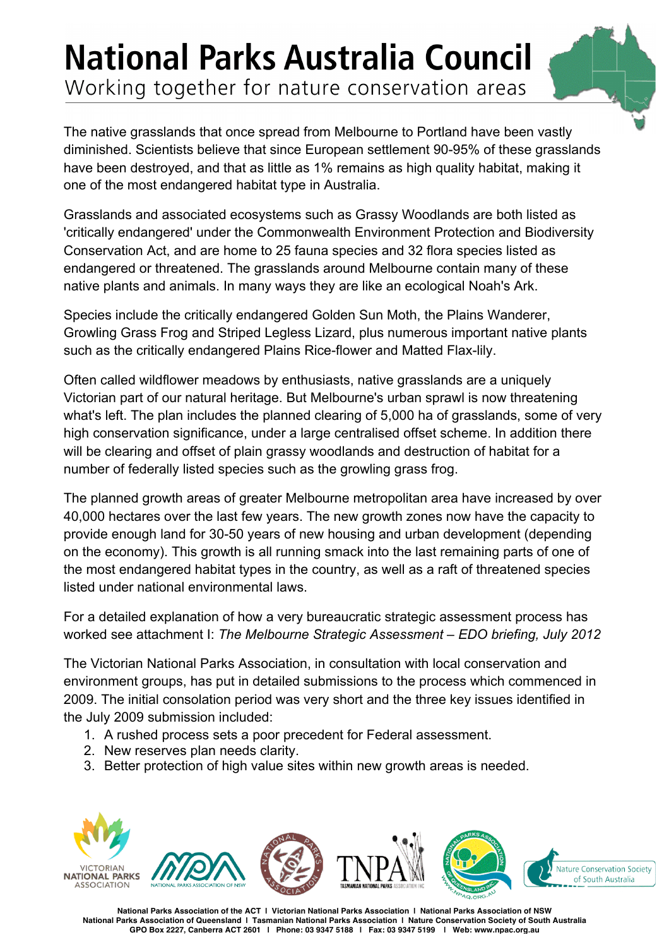Working together for nature conservation areas

The native grasslands that once spread from Melbourne to Portland have been vastly diminished. Scientists believe that since European settlement 90-95% of these grasslands have been destroyed, and that as little as 1% remains as high quality habitat, making it one of the most endangered habitat type in Australia.

Grasslands and associated ecosystems such as Grassy Woodlands are both listed as 'critically endangered' under the Commonwealth Environment Protection and Biodiversity Conservation Act, and are home to 25 fauna species and 32 flora species listed as endangered or threatened. The grasslands around Melbourne contain many of these native plants and animals. In many ways they are like an ecological Noah's Ark.

Species include the critically endangered Golden Sun Moth, the Plains Wanderer, Growling Grass Frog and Striped Legless Lizard, plus numerous important native plants such as the critically endangered Plains Rice-flower and Matted Flax-lily.

Often called wildflower meadows by enthusiasts, native grasslands are a uniquely Victorian part of our natural heritage. But Melbourne's urban sprawl is now threatening what's left. The plan includes the planned clearing of 5,000 ha of grasslands, some of very high conservation significance, under a large centralised offset scheme. In addition there will be clearing and offset of plain grassy woodlands and destruction of habitat for a number of federally listed species such as the growling grass frog.

The planned growth areas of greater Melbourne metropolitan area have increased by over 40,000 hectares over the last few years. The new growth zones now have the capacity to provide enough land for 30-50 years of new housing and urban development (depending on the economy). This growth is all running smack into the last remaining parts of one of the most endangered habitat types in the country, as well as a raft of threatened species listed under national environmental laws.

For a detailed explanation of how a very bureaucratic strategic assessment process has worked see attachment I: *The Melbourne Strategic Assessment – EDO briefing, July 2012*

The Victorian National Parks Association, in consultation with local conservation and environment groups, has put in detailed submissions to the process which commenced in 2009. The initial consolation period was very short and the three key issues identified in the July 2009 submission included:

- 1. A rushed process sets a poor precedent for Federal assessment.
- 2. New reserves plan needs clarity.
- 3. Better protection of high value sites within new growth areas is needed.

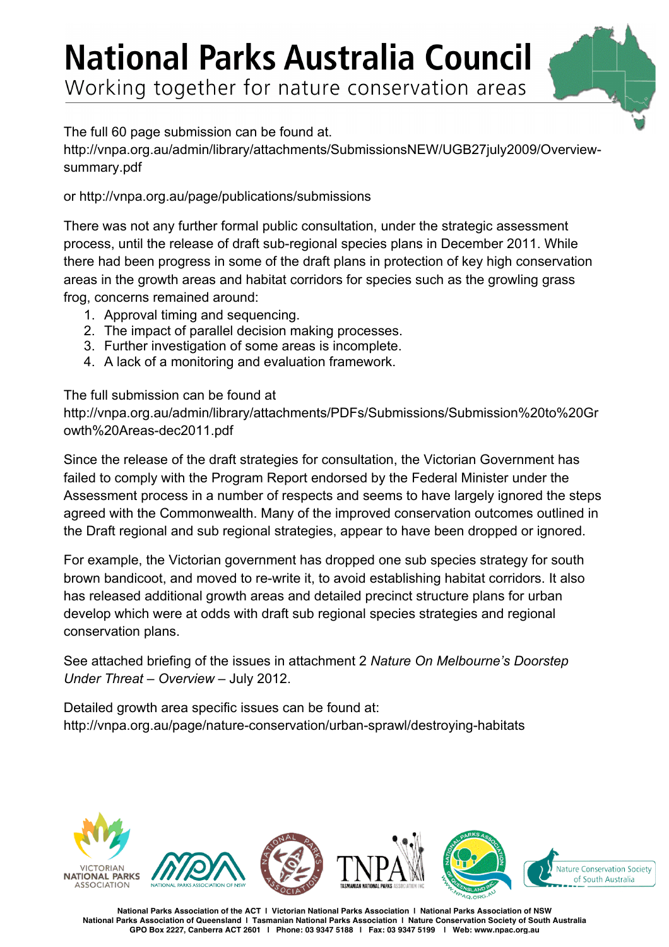Working together for nature conservation areas

The full 60 page submission can be found at.

http://vnpa.org.au/admin/library/attachments/SubmissionsNEW/UGB27july2009/Overviewsummary.pdf

or http://vnpa.org.au/page/publications/submissions

There was not any further formal public consultation, under the strategic assessment process, until the release of draft sub-regional species plans in December 2011. While there had been progress in some of the draft plans in protection of key high conservation areas in the growth areas and habitat corridors for species such as the growling grass frog, concerns remained around:

- 1. Approval timing and sequencing.
- 2. The impact of parallel decision making processes.
- 3. Further investigation of some areas is incomplete.
- 4. A lack of a monitoring and evaluation framework.

The full submission can be found at

http://vnpa.org.au/admin/library/attachments/PDFs/Submissions/Submission%20to%20Gr owth%20Areas-dec2011.pdf

Since the release of the draft strategies for consultation, the Victorian Government has failed to comply with the Program Report endorsed by the Federal Minister under the Assessment process in a number of respects and seems to have largely ignored the steps agreed with the Commonwealth. Many of the improved conservation outcomes outlined in the Draft regional and sub regional strategies, appear to have been dropped or ignored.

For example, the Victorian government has dropped one sub species strategy for south brown bandicoot, and moved to re-write it, to avoid establishing habitat corridors. It also has released additional growth areas and detailed precinct structure plans for urban develop which were at odds with draft sub regional species strategies and regional conservation plans.

See attached briefing of the issues in attachment 2 *Nature On Melbourne's Doorstep Under Threat – Overview* – July 2012.

Detailed growth area specific issues can be found at: http://vnpa.org.au/page/nature-conservation/urban-sprawl/destroying-habitats

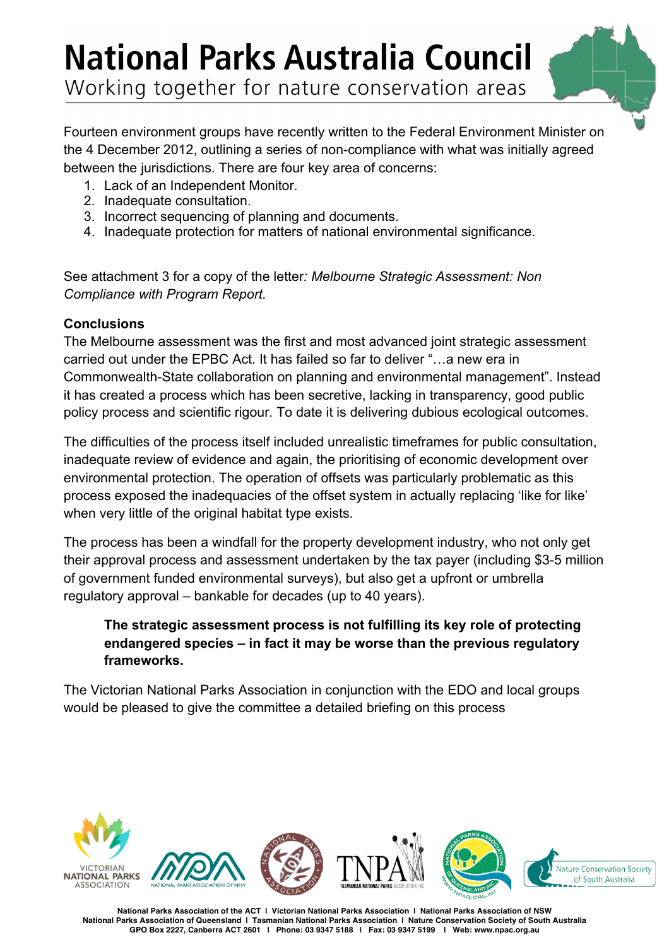Working together for nature conservation areas

Fourteen environment groups have recently written to the Federal Environment Minister on the 4 December 2012, outlining a series of non-compliance with what was initially agreed between the jurisdictions. There are four key area of concerns:

- 1. Lack of an Independent Monitor.
- 2. Inadequate consultation.
- 3. Incorrect sequencing of planning and documents.
- 4. Inadequate protection for matters of national environmental significance.

See attachment 3 for a copy of the letter*: Melbourne Strategic Assessment: Non Compliance with Program Report.* 

#### **Conclusions**

The Melbourne assessment was the first and most advanced joint strategic assessment carried out under the EPBC Act. It has failed so far to deliver "…a new era in Commonwealth-State collaboration on planning and environmental management". Instead it has created a process which has been secretive, lacking in transparency, good public policy process and scientific rigour. To date it is delivering dubious ecological outcomes.

The difficulties of the process itself included unrealistic timeframes for public consultation, inadequate review of evidence and again, the prioritising of economic development over environmental protection. The operation of offsets was particularly problematic as this process exposed the inadequacies of the offset system in actually replacing 'like for like' when very little of the original habitat type exists.

The process has been a windfall for the property development industry, who not only get their approval process and assessment undertaken by the tax payer (including \$3-5 million of government funded environmental surveys), but also get a upfront or umbrella regulatory approval – bankable for decades (up to 40 years).

#### **The strategic assessment process is not fulfilling its key role of protecting endangered species – in fact it may be worse than the previous regulatory frameworks.**

The Victorian National Parks Association in conjunction with the EDO and local groups would be pleased to give the committee a detailed briefing on this process

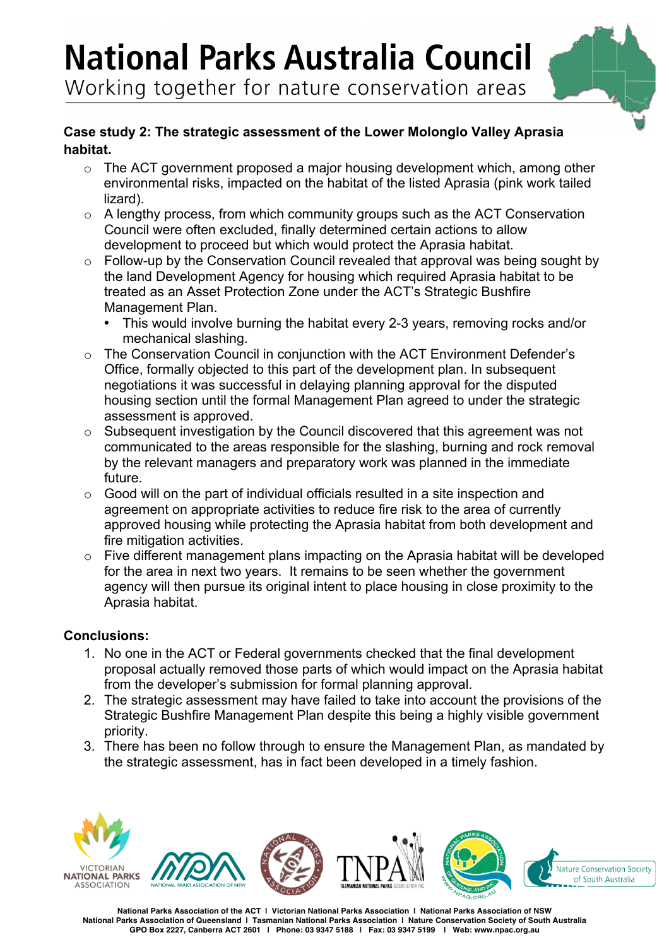Working together for nature conservation areas

#### **Case study 2: The strategic assessment of the Lower Molonglo Valley Aprasia habitat.**

- o The ACT government proposed a major housing development which, among other environmental risks, impacted on the habitat of the listed Aprasia (pink work tailed lizard).
- o A lengthy process, from which community groups such as the ACT Conservation Council were often excluded, finally determined certain actions to allow development to proceed but which would protect the Aprasia habitat.
- o Follow-up by the Conservation Council revealed that approval was being sought by the land Development Agency for housing which required Aprasia habitat to be treated as an Asset Protection Zone under the ACT's Strategic Bushfire Management Plan.
	- This would involve burning the habitat every 2-3 years, removing rocks and/or mechanical slashing.
- o The Conservation Council in conjunction with the ACT Environment Defender's Office, formally objected to this part of the development plan. In subsequent negotiations it was successful in delaying planning approval for the disputed housing section until the formal Management Plan agreed to under the strategic assessment is approved.
- o Subsequent investigation by the Council discovered that this agreement was not communicated to the areas responsible for the slashing, burning and rock removal by the relevant managers and preparatory work was planned in the immediate future.
- o Good will on the part of individual officials resulted in a site inspection and agreement on appropriate activities to reduce fire risk to the area of currently approved housing while protecting the Aprasia habitat from both development and fire mitigation activities.
- o Five different management plans impacting on the Aprasia habitat will be developed for the area in next two years. It remains to be seen whether the government agency will then pursue its original intent to place housing in close proximity to the Aprasia habitat.

#### **Conclusions:**

- 1. No one in the ACT or Federal governments checked that the final development proposal actually removed those parts of which would impact on the Aprasia habitat from the developer's submission for formal planning approval.
- 2. The strategic assessment may have failed to take into account the provisions of the Strategic Bushfire Management Plan despite this being a highly visible government priority.
- 3. There has been no follow through to ensure the Management Plan, as mandated by the strategic assessment, has in fact been developed in a timely fashion.

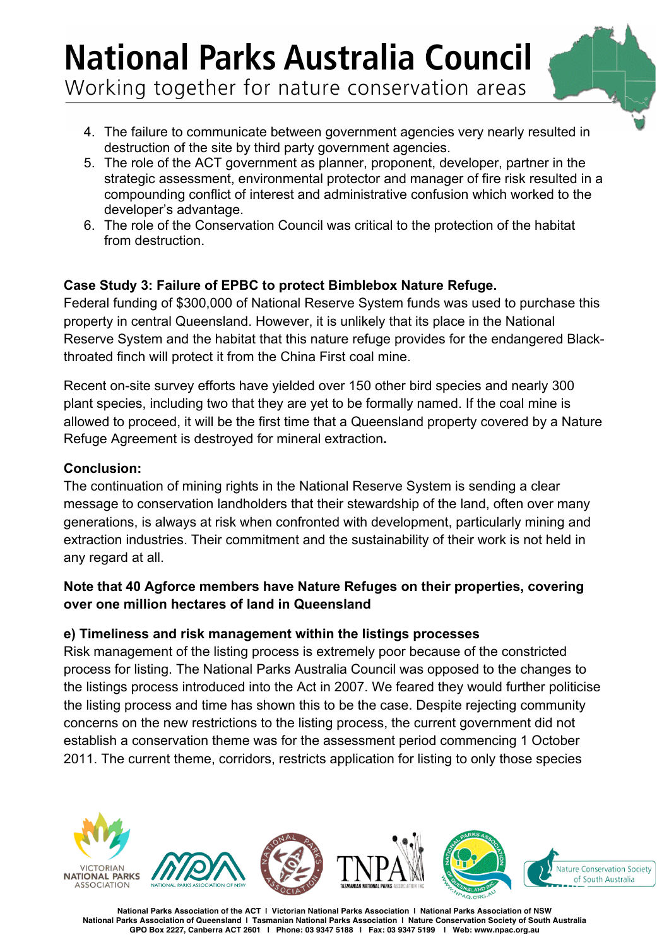Working together for nature conservation areas

- 4. The failure to communicate between government agencies very nearly resulted in destruction of the site by third party government agencies.
- 5. The role of the ACT government as planner, proponent, developer, partner in the strategic assessment, environmental protector and manager of fire risk resulted in a compounding conflict of interest and administrative confusion which worked to the developer's advantage.
- 6. The role of the Conservation Council was critical to the protection of the habitat from destruction.

#### **Case Study 3: Failure of EPBC to protect Bimblebox Nature Refuge.**

Federal funding of \$300,000 of National Reserve System funds was used to purchase this property in central Queensland. However, it is unlikely that its place in the National Reserve System and the habitat that this nature refuge provides for the endangered Blackthroated finch will protect it from the China First coal mine.

Recent on-site survey efforts have yielded over 150 other bird species and nearly 300 plant species, including two that they are yet to be formally named. If the coal mine is allowed to proceed, it will be the first time that a Queensland property covered by a Nature Refuge Agreement is destroyed for mineral extraction**.**

#### **Conclusion:**

The continuation of mining rights in the National Reserve System is sending a clear message to conservation landholders that their stewardship of the land, often over many generations, is always at risk when confronted with development, particularly mining and extraction industries. Their commitment and the sustainability of their work is not held in any regard at all.

#### **Note that 40 Agforce members have Nature Refuges on their properties, covering over one million hectares of land in Queensland**

#### **e) Timeliness and risk management within the listings processes**

Risk management of the listing process is extremely poor because of the constricted process for listing. The National Parks Australia Council was opposed to the changes to the listings process introduced into the Act in 2007. We feared they would further politicise the listing process and time has shown this to be the case. Despite rejecting community concerns on the new restrictions to the listing process, the current government did not establish a conservation theme was for the assessment period commencing 1 October 2011. The current theme, corridors, restricts application for listing to only those species

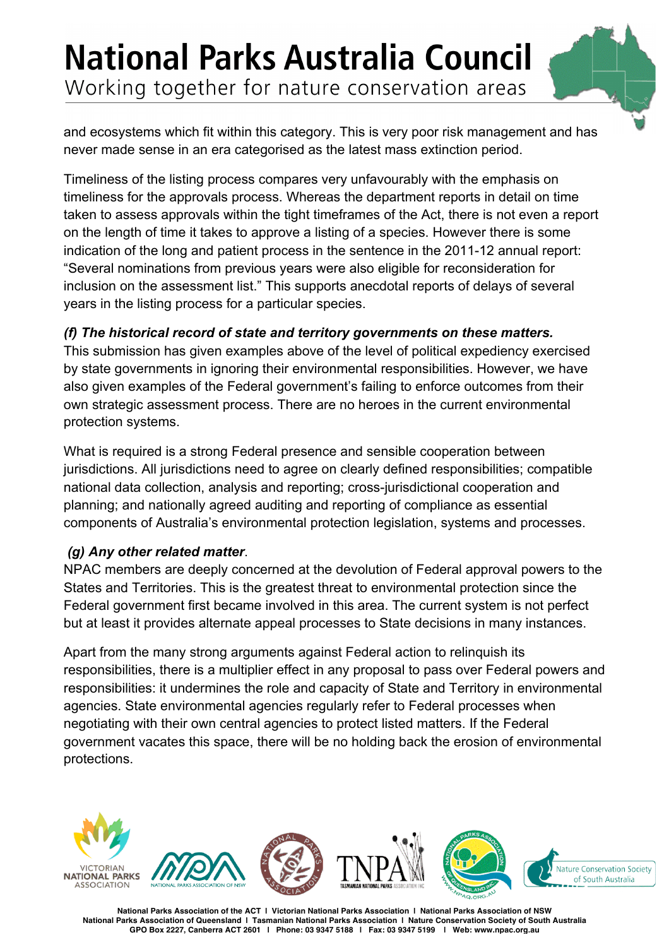### **National Parks Australia Council** Working together for nature conservation areas

and ecosystems which fit within this category. This is very poor risk management and has never made sense in an era categorised as the latest mass extinction period.

Timeliness of the listing process compares very unfavourably with the emphasis on timeliness for the approvals process. Whereas the department reports in detail on time taken to assess approvals within the tight timeframes of the Act, there is not even a report on the length of time it takes to approve a listing of a species. However there is some indication of the long and patient process in the sentence in the 2011-12 annual report: "Several nominations from previous years were also eligible for reconsideration for inclusion on the assessment list." This supports anecdotal reports of delays of several years in the listing process for a particular species.

#### *(f) The historical record of state and territory governments on these matters.*

This submission has given examples above of the level of political expediency exercised by state governments in ignoring their environmental responsibilities. However, we have also given examples of the Federal government's failing to enforce outcomes from their own strategic assessment process. There are no heroes in the current environmental protection systems.

What is required is a strong Federal presence and sensible cooperation between jurisdictions. All jurisdictions need to agree on clearly defined responsibilities; compatible national data collection, analysis and reporting; cross-jurisdictional cooperation and planning; and nationally agreed auditing and reporting of compliance as essential components of Australia's environmental protection legislation, systems and processes.

#### *(g) Any other related matter*.

NPAC members are deeply concerned at the devolution of Federal approval powers to the States and Territories. This is the greatest threat to environmental protection since the Federal government first became involved in this area. The current system is not perfect but at least it provides alternate appeal processes to State decisions in many instances.

Apart from the many strong arguments against Federal action to relinquish its responsibilities, there is a multiplier effect in any proposal to pass over Federal powers and responsibilities: it undermines the role and capacity of State and Territory in environmental agencies. State environmental agencies regularly refer to Federal processes when negotiating with their own central agencies to protect listed matters. If the Federal government vacates this space, there will be no holding back the erosion of environmental protections.